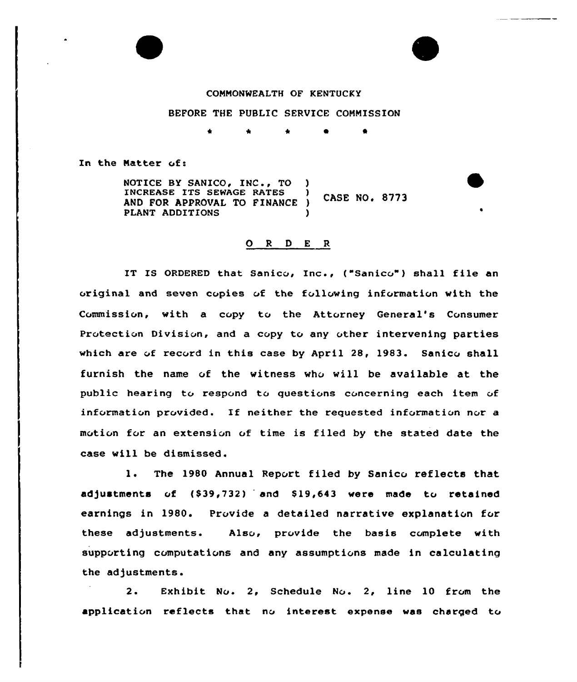## CONMONWEALTH OF KENTUCKY

## BEFORE THE PUBLIC SERVICE COHNISSION

\* \* 0 0

In the Natter of:

NOTICE BY SANICO, INC., TO )<br>INCREASE ITS SEWAGE RATES INCREASE ITS SEWAGE RATES **CASE NO. 8773** AND FOR APPROVAL TO FINANCE ) PLANT ADDITIONS )

## 0 <sup>R</sup> <sup>D</sup> <sup>E</sup> <sup>R</sup>

IT IS ORDERED that Sanico, Inc., ("Sanico") shall file an original and seven copies of the following information with the Commission, with a copy to the Attorney General's Consumer Protection Division, and a copy to any other intervening parties which are of record in this case by April 28, 1983. Sanico shall furnish the name of the witness who will be available at the public hearing to respond to questions concerning each item of information provided. If neither the requested information nor a motion for an extension of time is filed by the stated date the case will be dismissed.

1. The <sup>1980</sup> Annual Report filed by Sanico reflects that adjustments of (\$39,732) and \$19,643 were made to retained earnings in 1980. Provide a detailed narrative explanation for these adjustments. Also, provide the basis complete with supporting computativns and any assumptions made in calculating the adjustments.

2. Exhibit No. 2, Schedule No. 2, line 10 from the applicativn reflects that nv interest expense was charged to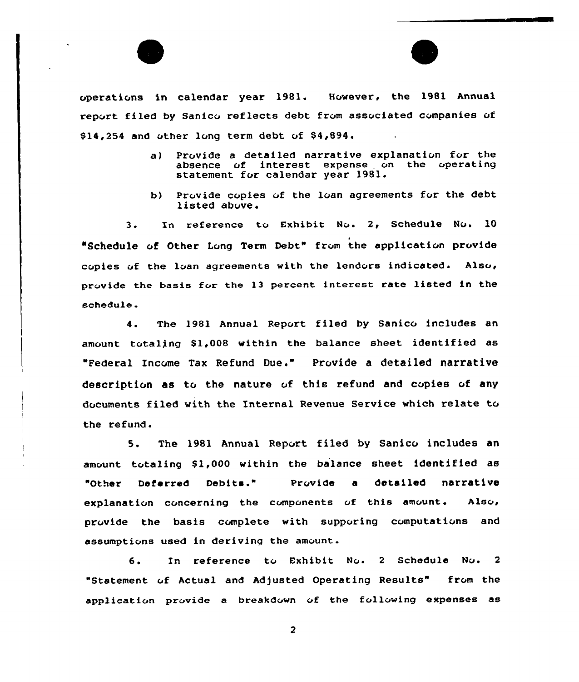



operations in calendar year 1981. However, the 1981 Annual report filed by Sanicc reflects debt from associated companies of \$ 14,254 and other long term debt of \$4,894.

- a) Provide a detailed narrative explanation for the absence of interest expense on the operating interest expense on the operating statement for calendar year 1981.
- b) Provide copies of the loan agreements for the debt listed above.

3. In reference to Exhibit No. 2, Schedule No. 10 "Schedule of Other Long Term Debt" from the application provide copies of the loan agreements with the lendors indicated. Also, provide the basis for the 13 percent interest rate listed in the schedule.

4. The 1981 Annual Report filed by Sanico includes an amount totaling \$1,008 within the balance sheet identified as "Federal Income Tax Refund Due." Provide a detailed narrative description as to the nature of this refund and copies of any documents filed with the Internal Revenue Service which relate to the refund.

5. The 1981 Annual Report filed by Sanico includes an amount totaling \$1,000 within the balance sheet identified as "Other Deferred Debits." Prc vide <sup>a</sup> detailed narrative explanation concerning the components of this amount. Also, provide the basis complete with supporing computations and assumptions used in deriving the amount.

6. In reference to Exhibit No. 2 Schedule No. 2 "Statement of Actual and Adjusted Operating Results" from the application provide a breakdown of the following expenses as

 $\overline{2}$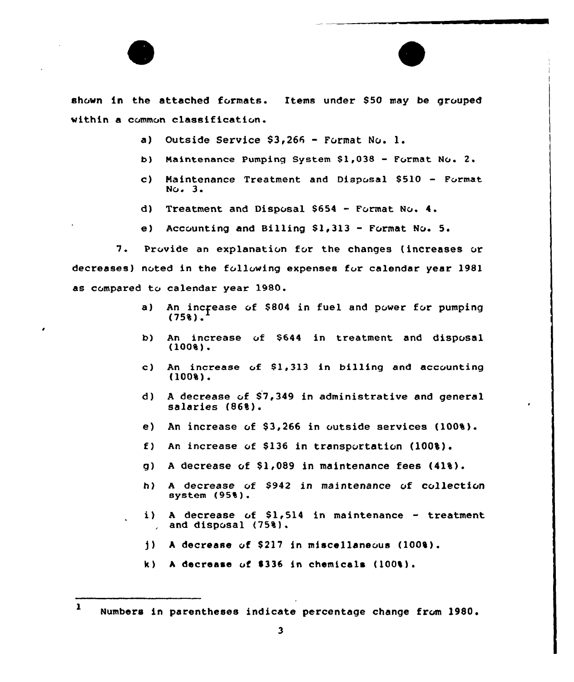

shown in the attached formats. Items under \$50 may be grouped within a common classificaticn.

- a) Outside Service  $$3,266$  Format No. 1.
- b) Maintenance Pumping System \$1,038 Format No. 2.
- c) Maintenance Treatment and Disposal  $$510 -$  Format  $NQ<sub>e</sub>$  3.
- d) Treatment and Disposal \$<sup>654</sup> Format No. 4.
- e) Accounting and Billing  $$1,313$  Format No. 5.

7. Provide an explanation for the changes (increases or decreases) noted in the following expenses for calendar year 1981 as compared to calendar year 1980.

- a) An increase of \$804 in fuel and power for pumping (75%).
- An increase vf \$644 in treatment and disposal b) (100%).
- An increase  $of$  \$1,313 in billing and accounting  $\mathbf{c}$ ) (100%).
- d) <sup>A</sup> decrease vf \$7,349 in administrative and general salaries (86%).
- e) An increase of  $$3,266$  in outside services  $(1008)$ .
- f) An increase of \$136 in transportation  $(100\$ ).
- g) A decrease of  $$1,089$  in maintenance fees  $(418)$ .
- <sup>A</sup> decrease vf \$942 in maintenance of collection h) system (95%).
- A decrease of  $$1,514$  in maintenance treatment i). and disposal (75%).
- $j$ ) A decrease of \$217 in miscellaneous (100%).
- k) A decrease of \$336 in chemicals  $(100\%)$ .

<sup>1</sup> Numbers in parentheses indicate percentage change from 1980.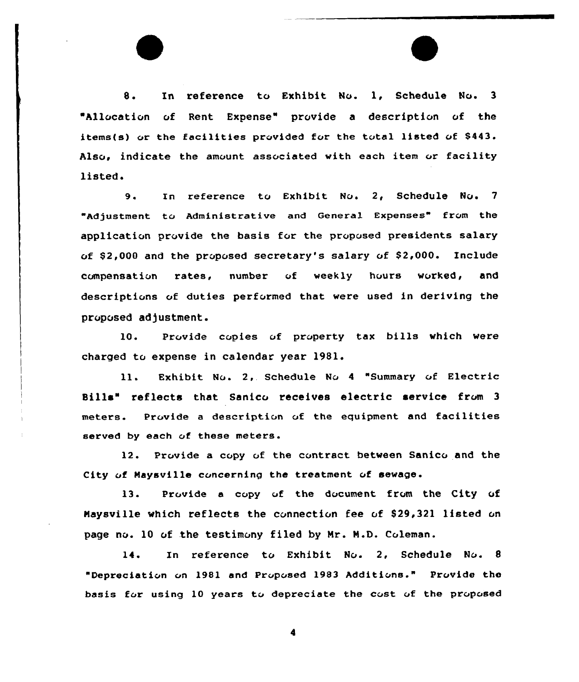8. In reference to Exhibit No. 1, Schedule No. <sup>3</sup> Allocation of Rent Expense" provide a description of the items(s) or the facilities provided for the total listed of \$443. Also, indicate the amount associated with each item or facility listed.

9. In reference to Exhibit No. 2, Schedule No. <sup>7</sup> "Adjustment to Administrative and General Expenses" from the application provide the basis for the proposed presidents salary of  $$2,000$  and the proposed secretary's salary of  $$2,000$ . Include compensation rates, number of weekly hours worked, and descripticns cf duties performed that were used in deriving the proposed adjustment.

10. Provide copies of property tax bills which were charged to expense in calendar year 1981.

ll. Exhibit No. 2, Schedule No 4 "Summary of Electric Bills" reflects that Sanico receives electric service from 3 meters. Provide a description of the equipment and facilities served by each of these meters.

12. Prcvide a ccpy uf the contract between Sanicc and the City vf Naysville cvncerning the treatment vf sewage.

13. Provide a copy of the document from the City of Maysville which reflects the connection fee of \$29,321 listed on page no. 10 of the testimony filed by Mr. M.D. Coleman.

14. In reference to Exhibit No. 2, Schedule No. 8 "Depreciation vn 1981 and Prvpvsed 1983 Additions." Provide the basis for using 10 years to depreciate the cost of the proposed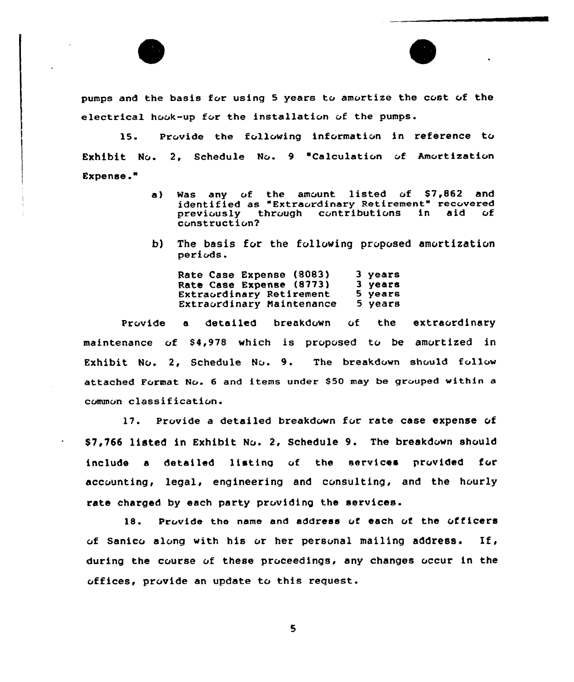

pumps and the basis for using 5 years to amortize the cost of the electrical hook-up for the installation of the pumps.

15. Provide the following information in reference to Exhibit No. 2, Schedule No. 9 "Calculation of Amortization Expense."

- a) Was any of the amount listed of  $$7,862$  and identified as "Extracrdinary Retirement" recovered<br>previously through contributions in aid of previously through contributions construction7
- b) The basis for the following proposed amortization periods.

Rate Case Expense (8083} Rate Case Expense (8773} Extraordinary Retirement Extraordinary Naintenance 3 years 3 years 5 years 5 years

Provide a detailed breakdown of the extraordinary maintenance of \$4,978 which is proposed to be amortized in Exhibit No. 2, Schedule No. 9. The breakdown should follow attached Format No. 6 and items under \$50 may be grouped within a common classification.

17. Provide a detailed breakdown for rate case expense of \$7,766 listed in Exhibit No. 2, Schedule 9. The breakdown should include a detailed listing of the services provided for accounting, legal, engineering and consulting, and the hourly rate charged by each party providing the services.

18. Prc vide the name and address vf each of the officers of Sanico along with his or her personal mailing address. If, during the course of these proceedings, any changes occur in the offices, provide an update to this request.

 $\mathbf{5}$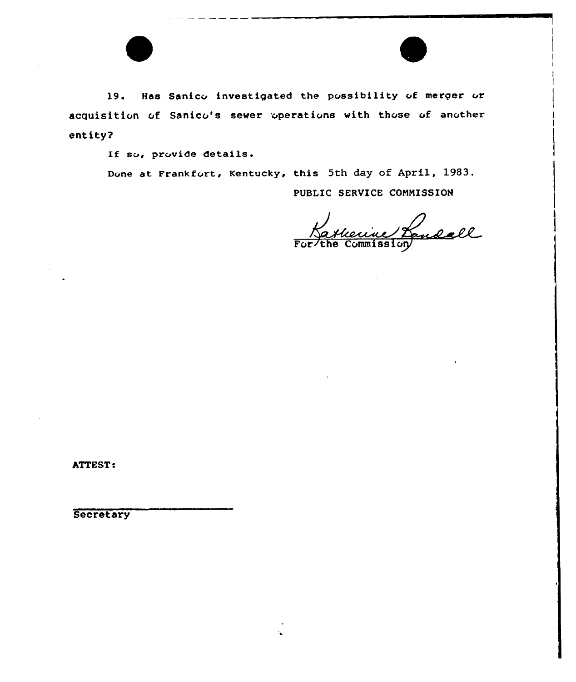l9. Has Sanico investigated the possibility of merger or acquisition of Sanico's sewer operations with those of another entity?

If so, provide details.

Done at Frankfort, Kentucky, this 5th day of April, 1983.

PUBLIC SERVICE CONNISSION

Batherine Landall

ATTEST:

**Secretary**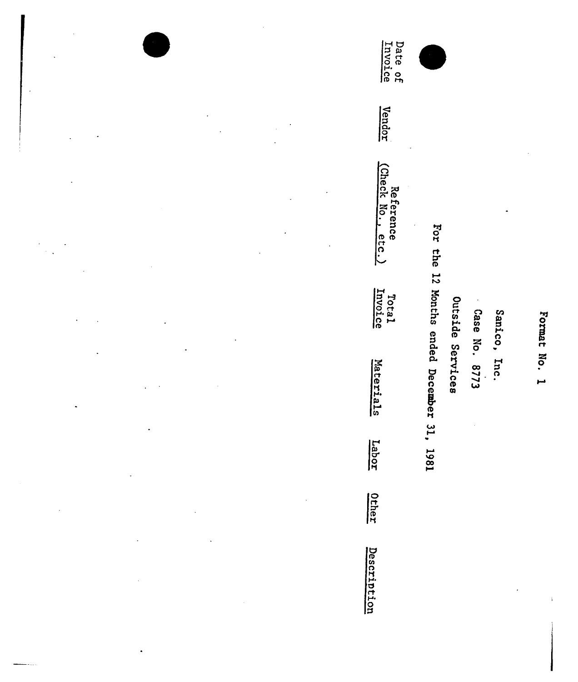Format No. 1

Sanico, Inc.

Case No. 8773

Outside Services

For the 12 Months ended December 31, 1981

Date of<br>Invoice Vendor Reference<br>(Check No., etc.) Total<br>Invoice Materials Labor Other Description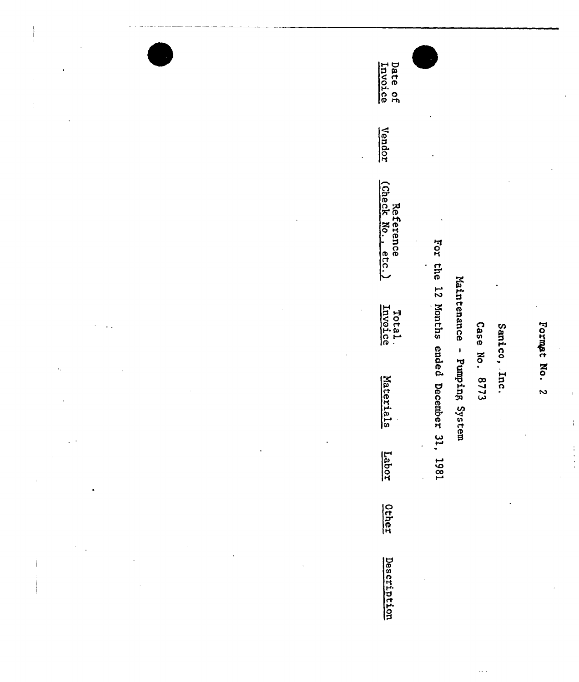Date of<br>Invoice Vendor Reference<br>(Check No., etc.) For the 12 Months ended December 31, 1981 Maintenance - Pumping System Total.<br>Invoice Case No. 8773 Sanico, Inc. Materials Labor Other Description

Formet No. 2

ł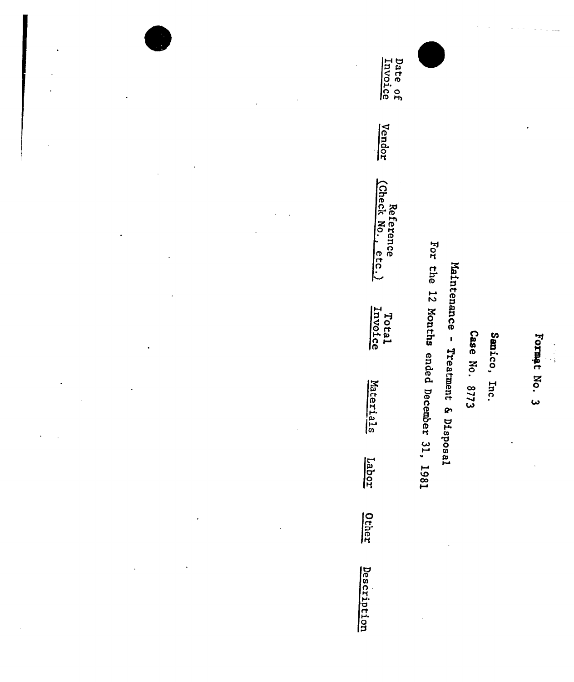Date of<br>Invoice Vendor Reference<br>(Check No., etc.) For the 12 Months ended December 31, 1981 Maintenance - Treatment & Disposal Total<br>Invoice Case No. 8773 Sanico, Inc. Materials Labor Other Description

Format No. 3

 $\begin{array}{c} \mathbf{1} \cdot \mathbf{s} \\ \mathbf{1} \cdot \mathbf{s} \\ \mathbf{s} \cdot \mathbf{s} \end{array}$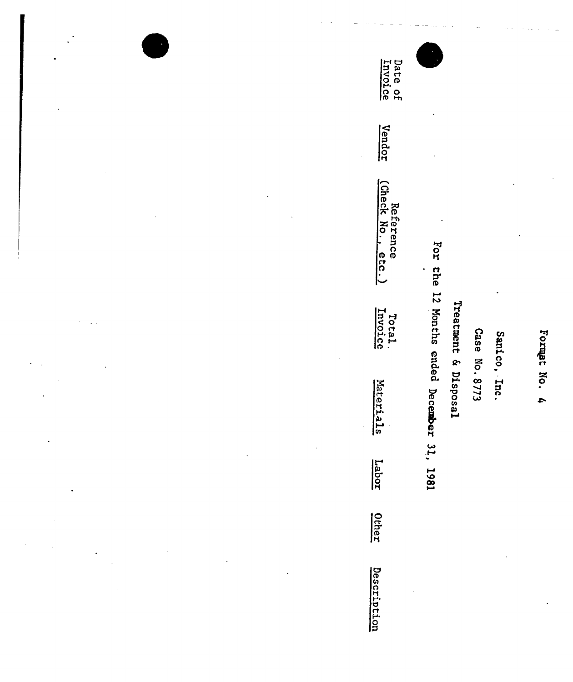Date of<br>Invoice Vendor Reference<br>(Check No., etc.) For the 12 Months ended December 31, 1981 Treatment & Disposal Total.<br>Invoice Case No. 8773 Sanico, Inc. Materials Labor Other Description

Formet No. 4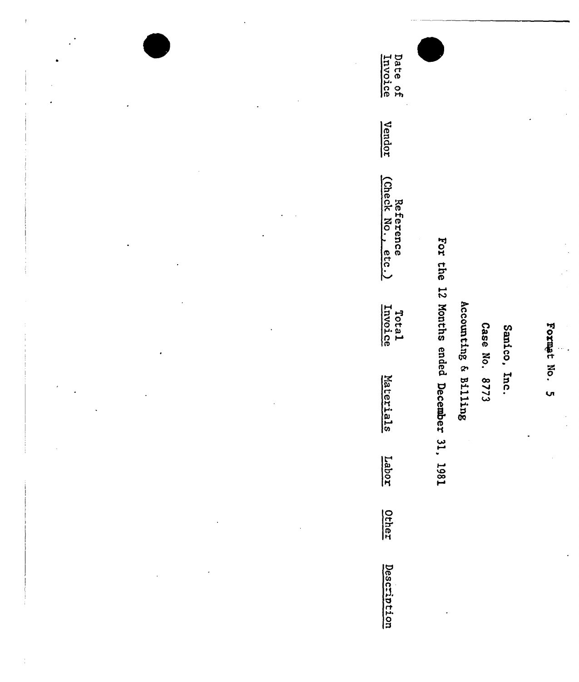E J E P' rt 0 Q ក្ដី ទី Vendor Referen<br>eck No. n<br>0 B C<br>0 S C C .  $\vec{\mathbf{e}}$ xo M Lot:<br>Joi Format No. 5 ່ລ P ក្ក<br>ក្នុង 0  $\ddot{\circ}$ ID  $\infty$ p ö h08 pë g<br>G بب Labor On. ក្នុ O

<u>ក្ខ</u>